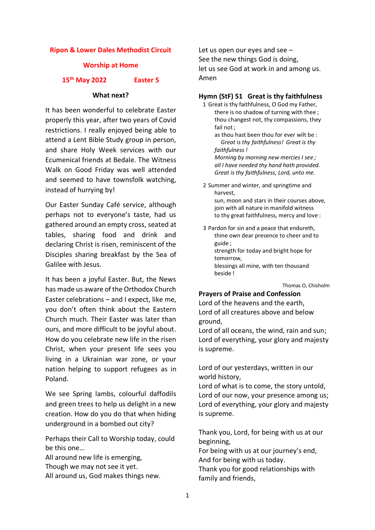#### **Ripon & Lower Dales Methodist Circuit**

#### **Worship at Home**

## **15th May 2022 Easter 5**

#### **What next?**

It has been wonderful to celebrate Easter properly this year, after two years of Covid restrictions. I really enjoyed being able to attend a Lent Bible Study group in person, and share Holy Week services with our Ecumenical friends at Bedale. The Witness Walk on Good Friday was well attended and seemed to have townsfolk watching, instead of hurrying by!

Our Easter Sunday Café service, although perhaps not to everyone's taste, had us gathered around an empty cross, seated at tables, sharing food and drink and declaring Christ is risen, reminiscent of the Disciples sharing breakfast by the Sea of Galilee with Jesus.

It has been a joyful Easter. But, the News has made us aware of the Orthodox Church Easter celebrations – and I expect, like me, you don't often think about the Eastern Church much. Their Easter was later than ours, and more difficult to be joyful about. How do you celebrate new life in the risen Christ, when your present life sees you living in a Ukrainian war zone, or your nation helping to support refugees as in Poland.

We see Spring lambs, colourful daffodils and green trees to help us delight in a new creation. How do you do that when hiding underground in a bombed out city?

Perhaps their Call to Worship today, could be this one…

All around new life is emerging,

Though we may not see it yet.

All around us, God makes things new.

Let us open our eyes and see – See the new things God is doing, let us see God at work in and among us. Amen

## **Hymn (StF) 51 Great is thy faithfulness**

1 Great is thy faithfulness, O God my Father, there is no shadow of turning with thee ; thou changest not, thy compassions, they fail not ;

as thou hast been thou for ever wilt be : *Great is thy faithfulness! Great is thy faithfulness !*

*Morning by morning new mercies I see ; all I have needed thy hand hath provided. Great is thy faithfulness, Lord, unto me.*

- 2 Summer and winter, and springtime and harvest, sun, moon and stars in their courses above, join with all nature in manifold witness to thy great faithfulness, mercy and love :
- 3 Pardon for sin and a peace that endureth, thine own dear presence to cheer and to guide ; strength for today and bright hope for tomorrow, blessings all mine, with ten thousand beside !

Thomas O, Chisholm

# **Prayers of Praise and Confession** Lord of the heavens and the earth,

Lord of all creatures above and below ground,

Lord of all oceans, the wind, rain and sun; Lord of everything, your glory and majesty is supreme.

Lord of our yesterdays, written in our world history,

Lord of what is to come, the story untold, Lord of our now, your presence among us; Lord of everything, your glory and majesty is supreme.

Thank you, Lord, for being with us at our beginning,

For being with us at our journey's end, And for being with us today.

Thank you for good relationships with family and friends,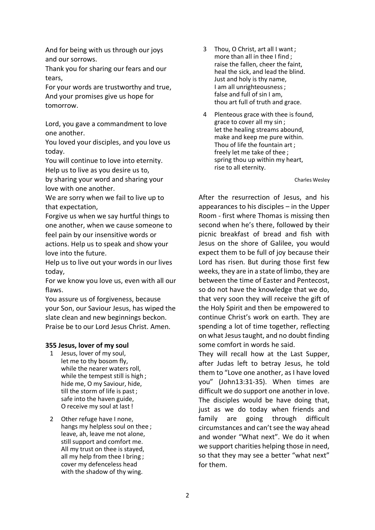And for being with us through our joys and our sorrows.

Thank you for sharing our fears and our tears,

For your words are trustworthy and true, And your promises give us hope for tomorrow.

Lord, you gave a commandment to love one another.

You loved your disciples, and you love us today.

You will continue to love into eternity. Help us to live as you desire us to,

by sharing your word and sharing your love with one another.

We are sorry when we fail to live up to that expectation,

Forgive us when we say hurtful things to one another, when we cause someone to feel pain by our insensitive words or actions. Help us to speak and show your love into the future.

Help us to live out your words in our lives today,

For we know you love us, even with all our flaws.

You assure us of forgiveness, because your Son, our Saviour Jesus, has wiped the slate clean and new beginnings beckon. Praise be to our Lord Jesus Christ. Amen.

## **355 Jesus, lover of my soul**

- 1 Jesus, lover of my soul, let me to thy bosom fly, while the nearer waters roll, while the tempest still is high; hide me, O my Saviour, hide, till the storm of life is past ; safe into the haven guide, O receive my soul at last !
- 2 Other refuge have I none, hangs my helpless soul on thee ; leave, ah, leave me not alone, still support and comfort me. All my trust on thee is stayed, all my help from thee I bring ; cover my defenceless head with the shadow of thy wing.
- 3 Thou, O Christ, art all I want ; more than all in thee I find ; raise the fallen, cheer the faint, heal the sick, and lead the blind. Just and holy is thy name, I am all unrighteousness ; false and full of sin I am, thou art full of truth and grace.
- 4 Plenteous grace with thee is found, grace to cover all my sin ; let the healing streams abound, make and keep me pure within. Thou of life the fountain art ; freely let me take of thee ; spring thou up within my heart, rise to all eternity.

Charles Wesley

After the resurrection of Jesus, and his appearances to his disciples – in the Upper Room - first where Thomas is missing then second when he's there, followed by their picnic breakfast of bread and fish with Jesus on the shore of Galilee, you would expect them to be full of joy because their Lord has risen. But during those first few weeks, they are in a state of limbo, they are between the time of Easter and Pentecost, so do not have the knowledge that we do, that very soon they will receive the gift of the Holy Spirit and then be empowered to continue Christ's work on earth. They are spending a lot of time together, reflecting on what Jesus taught, and no doubt finding some comfort in words he said.

They will recall how at the Last Supper, after Judas left to betray Jesus, he told them to "Love one another, as I have loved you" (John13:31-35). When times are difficult we do support one another in love. The disciples would be have doing that, just as we do today when friends and family are going through difficult circumstances and can't see the way ahead and wonder "What next". We do it when we support charities helping those in need, so that they may see a better "what next" for them.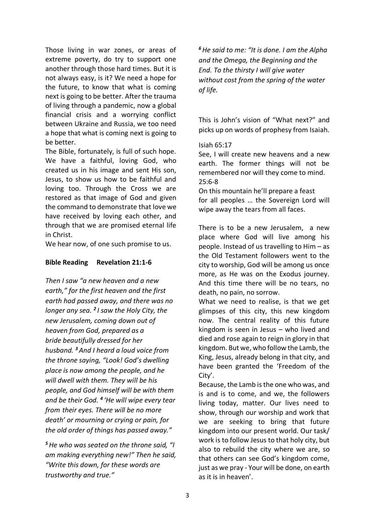Those living in war zones, or areas of extreme poverty, do try to support one another through those hard times. But it is not always easy, is it? We need a hope for the future, to know that what is coming next is going to be better. After the trauma of living through a pandemic, now a global financial crisis and a worrying conflict between Ukraine and Russia, we too need a hope that what is coming next is going to be better.

The Bible, fortunately, is full of such hope. We have a faithful, loving God, who created us in his image and sent His son, Jesus, to show us how to be faithful and loving too. Through the Cross we are restored as that image of God and given the command to demonstrate that love we have received by loving each other, and through that we are promised eternal life in Christ.

We hear now, of one such promise to us.

## **Bible Reading Revelation 21:1-6**

*Then I saw "a new heaven and a new earth," for the first heaven and the first earth had passed away, and there was no longer any sea. <sup>2</sup> I saw the Holy City, the new Jerusalem, coming down out of heaven from God, prepared as a bride beautifully dressed for her husband. <sup>3</sup> And I heard a loud voice from the throne saying, "Look! God's dwelling place is now among the people, and he will dwell with them. They will be his people, and God himself will be with them and be their God. <sup>4</sup> 'He will wipe every tear from their eyes. There will be no more death' or mourning or crying or pain, for the old order of things has passed away."*

*<sup>5</sup>He who was seated on the throne said, "I am making everything new!" Then he said, "Write this down, for these words are trustworthy and true."*

*<sup>6</sup>He said to me: "It is done. I am the Alpha and the Omega, the Beginning and the End. To the thirsty I will give water without cost from the spring of the water of life.*

This is John's vision of "What next?" and picks up on words of prophesy from Isaiah.

## Isiah 65:17

See, I will create new heavens and a new earth. The former things will not be remembered nor will they come to mind. 25:6-8

On this mountain he'll prepare a feast for all peoples … the Sovereign Lord will wipe away the tears from all faces.

There is to be a new Jerusalem, a new place where God will live among his people. Instead of us travelling to Him – as the Old Testament followers went to the city to worship, God will be among us once more, as He was on the Exodus journey. And this time there will be no tears, no death, no pain, no sorrow.

What we need to realise, is that we get glimpses of this city, this new kingdom now. The central reality of this future kingdom is seen in Jesus – who lived and died and rose again to reign in glory in that kingdom. But we, who follow the Lamb, the King, Jesus, already belong in that city, and have been granted the 'Freedom of the City'.

Because, the Lamb is the one who was, and is and is to come, and we, the followers living today, matter. Our lives need to show, through our worship and work that we are seeking to bring that future kingdom into our present world. Our task/ work is to follow Jesus to that holy city, but also to rebuild the city where we are, so that others can see God's kingdom come, just as we pray - Your will be done, on earth as it is in heaven'.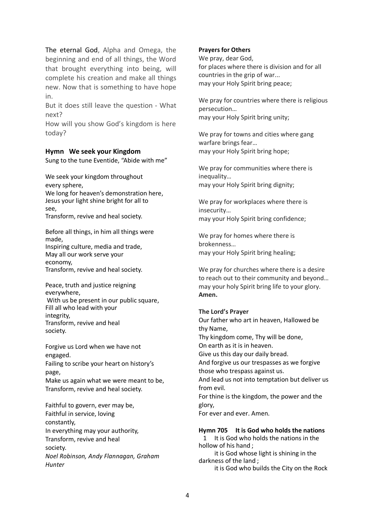The eternal God, Alpha and Omega, the beginning and end of all things, the Word that brought everything into being, will complete his creation and make all things new. Now that is something to have hope in.

But it does still leave the question - What next?

How will you show God's kingdom is here today?

#### **Hymn We seek your Kingdom**

Sung to the tune Eventide, "Abide with me"

We seek your kingdom throughout every sphere, We long for heaven's demonstration here, Jesus your light shine bright for all to see, Transform, revive and heal society.

Before all things, in him all things were made, Inspiring culture, media and trade, May all our work serve your economy, Transform, revive and heal society.

Peace, truth and justice reigning everywhere, With us be present in our public square, Fill all who lead with your integrity, Transform, revive and heal society.

Forgive us Lord when we have not engaged. Failing to scribe your heart on history's page,

Make us again what we were meant to be, Transform, revive and heal society.

Faithful to govern, ever may be, Faithful in service, loving constantly, In everything may your authority, Transform, revive and heal society. *Noel Robinson, Andy Flannagan, Graham Hunter*

## **Prayers for Others**

We pray, dear God, for places where there is division and for all countries in the grip of war... may your Holy Spirit bring peace;

We pray for countries where there is religious persecution… may your Holy Spirit bring unity;

We pray for towns and cities where gang warfare brings fear… may your Holy Spirit bring hope;

We pray for communities where there is inequality… may your Holy Spirit bring dignity;

We pray for workplaces where there is insecurity… may your Holy Spirit bring confidence;

We pray for homes where there is brokenness… may your Holy Spirit bring healing;

We pray for churches where there is a desire to reach out to their community and beyond… may your holy Spirit bring life to your glory. **Amen.**

#### **The Lord's Prayer**

Our father who art in heaven, Hallowed be thy Name, Thy kingdom come, Thy will be done, On earth as it is in heaven. Give us this day our daily bread. And forgive us our trespasses as we forgive those who trespass against us. And lead us not into temptation but deliver us from evil. For thine is the kingdom, the power and the glory, For ever and ever. Amen.

## **Hymn 705 It is God who holds the nations**

 1 It is God who holds the nations in the hollow of his hand ;

it is God whose light is shining in the darkness of the land ;

it is God who builds the City on the Rock